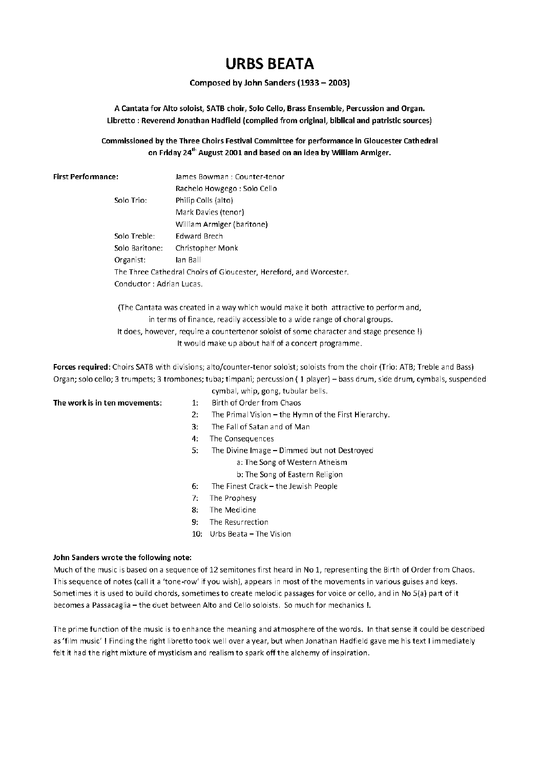# **URBS BEATA**

## Composed by John Sanders (1933 - 2003)

A Cantata for Alto soloist. SATB choir. Solo Cello. Brass Ensemble. Percussion and Organ. Libretto: Reverend Jonathan Hadfield (compiled from original, biblical and patristic sources)

## Commissioned by the Three Choirs Festival Committee for performance in Gloucester Cathedral on Friday 24<sup>th</sup> August 2001 and based on an idea by William Armiger.

| <b>First Performance:</b> |  |
|---------------------------|--|
|---------------------------|--|

James Bowman: Counter-tenor Rachelo Howgego : Solo Cello Solo Trio: Philip Colls (alto) Mark Davies (tenor) William Armiger (baritone) Solo Treble: **Edward Brech** Solo Baritone: Christopher Monk Organist: lan Ball The Three Cathedral Choirs of Gloucester, Hereford, and Worcester. Conductor : Adrian Lucas.

(The Cantata was created in a way which would make it both attractive to perform and, in terms of finance, readily accessible to a wide range of choral groups.

It does, however, require a countertenor soloist of some character and stage presence !) It would make up about half of a concert programme.

Forces required: Choirs SATB with divisions; alto/counter-tenor soloist; soloists from the choir (Trio: ATB; Treble and Bass) Organ; solo cello; 3 trumpets; 3 trombones; tuba; timpani; percussion (1 player) - bass drum, side drum, cymbals, suspended cymbal, whip, gong, tubular bells.

### The work is in ten movements:

- $1:$ Birth of Order from Chaos
- The Primal Vision the Hymn of the First Hierarchy.  $2:$
- $\mathbf{R}$ The Fall of Satan and of Man
- 4: The Consequences
- 5: The Divine Image - Dimmed but not Destroyed
	- a: The Song of Western Atheism
	- b: The Song of Eastern Religion
- The Finest Crack the Jewish People 6.
- $7:$ The Prophesy
- The Medicine  $\mathbf{R}$ .
- The Resurrection 9.
- 10: Urbs Beata The Vision

### John Sanders wrote the following note:

Much of the music is based on a sequence of 12 semitones first heard in No 1, representing the Birth of Order from Chaos. This sequence of notes (call it a 'tone-row' if you wish), appears in most of the movements in various guises and keys. Sometimes it is used to build chords, sometimes to create melodic passages for voice or cello, and in No 5(a) part of it becomes a Passacaglia - the duet between Alto and Cello soloists. So much for mechanics !.

The prime function of the music is to enhance the meaning and atmosphere of the words. In that sense it could be described as 'film music'! Finding the right libretto took well over a year, but when Jonathan Hadfield gave me his text I immediately felt it had the right mixture of mysticism and realism to spark off the alchemy of inspiration.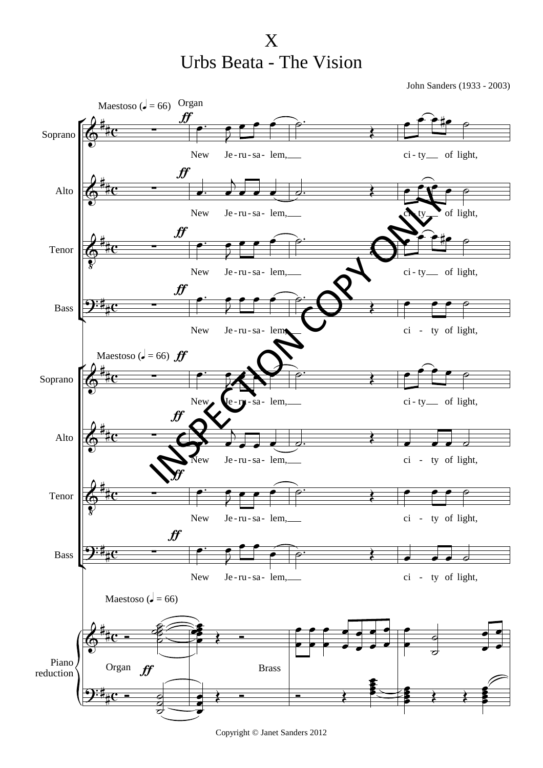X Urbs Beata - The Vision

John Sanders (1933 - 2003)



Copyright © Janet Sanders 2012